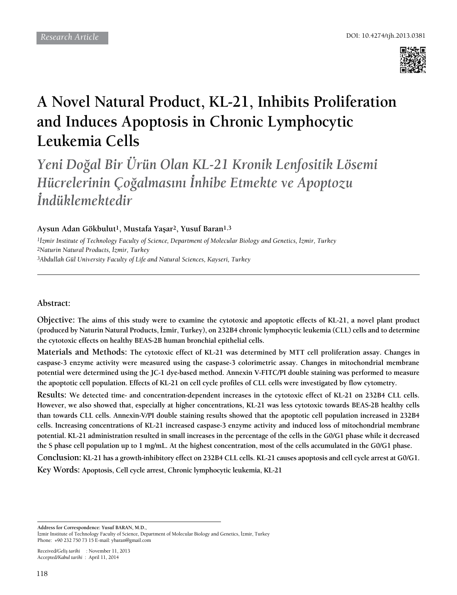

# **A Novel Natural Product, KL-21, Inhibits Proliferation and Induces Apoptosis in Chronic Lymphocytic Leukemia Cells**

*Yeni Doğal Bir Ürün Olan KL-21 Kronik Lenfositik Lösemi Hücrelerinin Çoğalmasını İnhibe Etmekte ve Apoptozu İndüklemektedir*

**Aysun Adan Gökbulut1, Mustafa Yaşar2, Yusuf Baran1,3**

*1İzmir Institute of Technology Faculty of Science, Department of Molecular Biology and Genetics, İzmir, Turkey 2Naturin Natural Products, İzmir, Turkey 3Abdullah Gül University Faculty of Life and Natural Sciences, Kayseri, Turkey*

# **Abstract:**

**Objective: The aims of this study were to examine the cytotoxic and apoptotic effects of KL-21, a novel plant product (produced by Naturin Natural Products, İzmir, Turkey), on 232B4 chronic lymphocytic leukemia (CLL) cells and to determine the cytotoxic effects on healthy BEAS-2B human bronchial epithelial cells.** 

**Materials and Methods: The cytotoxic effect of KL-21 was determined by MTT cell proliferation assay. Changes in caspase-3 enzyme activity were measured using the caspase-3 colorimetric assay. Changes in mitochondrial membrane potential were determined using the JC-1 dye-based method. Annexin V-FITC/PI double staining was performed to measure the apoptotic cell population. Effects of KL-21 on cell cycle profiles of CLL cells were investigated by flow cytometry.** 

**Results: We detected time- and concentration-dependent increases in the cytotoxic effect of KL-21 on 232B4 CLL cells. However, we also showed that, especially at higher concentrations, KL-21 was less cytotoxic towards BEAS-2B healthy cells than towards CLL cells. Annexin-V/PI double staining results showed that the apoptotic cell population increased in 232B4 cells. Increasing concentrations of KL-21 increased caspase-3 enzyme activity and induced loss of mitochondrial membrane potential. KL-21 administration resulted in small increases in the percentage of the cells in the G0/G1 phase while it decreased the S phase cell population up to 1 mg/mL. At the highest concentration, most of the cells accumulated in the G0/G1 phase.** 

**Conclusion: KL-21 has a growth-inhibitory effect on 232B4 CLL cells. KL-21 causes apoptosis and cell cycle arrest at G0/G1. Key Words: Apoptosis, Cell cycle arrest, Chronic lymphocytic leukemia, KL-21**

**Address for Correspondence: Yusuf BARAN, M.D.,** 

İzmir Institute of Technology Faculty of Science, Department of Molecular Biology and Genetics, İzmir, Turkey Phone: +90 232 750 73 15 E-mail: ybaran@gmail.com

Received/*Geliş tarihi* : November 11, 2013 Accepted/*Kabul tarihi* : April 11, 2014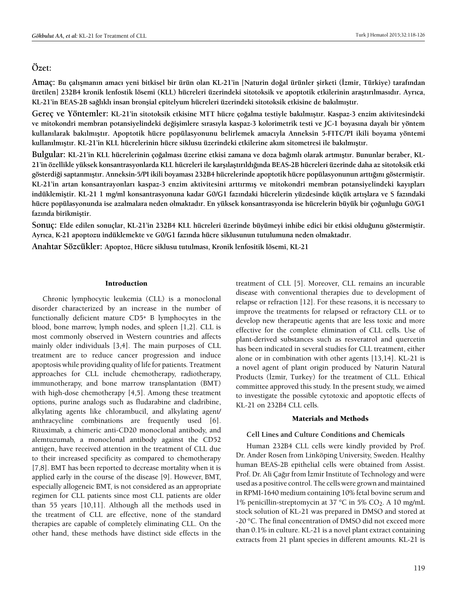# **Özet:**

**Amaç: Bu çalışmanın amacı yeni bitkisel bir ürün olan KL-21'in [Naturin doğal ürünler şirketi (İzmir, Türkiye) tarafından üretilen] 232B4 kronik lenfostik lösemi (KLL) hücreleri üzerindeki sitotoksik ve apoptotik etkilerinin araştırılmasıdır. Ayrıca, KL-21'in BEAS-2B sağlıklı insan bronşial epitelyum hücreleri üzerindeki sitotoksik etkisine de bakılmıştır.**

**Gereç ve Yöntemler: KL-21'in sitotoksik etkisine MTT hücre çoğalma testiyle bakılmıştır. Kaspaz-3 enzim aktivitesindeki ve mitokondri membran potansiyelindeki değişimlere sırasıyla kaspaz-3 kolorimetrik testi ve JC-1 boyasına dayalı bir yöntem kullanılarak bakılmıştır. Apoptotik hücre popülasyonunu belirlemek amacıyla Anneksin 5-FITC/PI ikili boyama yöntemi kullanılmıştır. KL-21'in KLL hücrelerinin hücre siklusu üzerindeki etkilerine akım sitometresi ile bakılmıştır.**

**Bulgular: KL-21'in KLL hücrelerinin çoğalması üzerine etkisi zamana ve doza bağımlı olarak artmıştır. Bununlar beraber, KL-21'in özellikle yüksek konsantrasyonlarda KLL hücreleri ile karşılaştırıldığında BEAS-2B hücreleri üzerinde daha az sitotoksik etki gösterdiği saptanmıştır. Anneksin-5/PI ikili boyaması 232B4 hücrelerinde apoptotik hücre popülasyonunun arttığını göstermiştir. KL-21'in artan konsantrayonları kaspaz-3 enzim aktivitesini arttırmış ve mitokondri membran potansiyelindeki kayıpları indüklemiştir. KL-21 1 mg/ml konsantrasyonuna kadar G0/G1 fazındaki hücrelerin yüzdesinde küçük artışlara ve S fazındaki hücre popülasyonunda ise azalmalara neden olmaktadır. En yüksek konsantrasyonda ise hücrelerin büyük bir çoğunluğu G0/G1 fazında birikmiştir.**

**Sonuç: Elde edilen sonuçlar, KL-21'in 232B4 KLL hücreleri üzerinde büyümeyi inhibe edici bir etkisi olduğunu göstermiştir. Ayrıca, K-21 apoptozu indüklemekte ve G0/G1 fazında hücre siklusunun tutulumuna neden olmaktadır.**

**Anahtar Sözcükler: Apoptoz, Hücre siklusu tutulması, Kronik lenfositik lösemi, KL-21**

#### Introduction

Chronic lymphocytic leukemia (CLL) is a monoclonal disorder characterized by an increase in the number of functionally deficient mature CD5+ B lymphocytes in the blood, bone marrow, lymph nodes, and spleen [1,2]. CLL is most commonly observed in Western countries and affects mainly older individuals [3,4]. The main purposes of CLL treatment are to reduce cancer progression and induce apoptosis while providing quality of life for patients. Treatment approaches for CLL include chemotherapy, radiotherapy, immunotherapy, and bone marrow transplantation (BMT) with high-dose chemotherapy [4,5]. Among these treatment options, purine analogs such as fludarabine and cladribine, alkylating agents like chlorambucil, and alkylating agent/ anthracycline combinations are frequently used [6]. Rituximab, a chimeric anti-CD20 monoclonal antibody, and alemtuzumab, a monoclonal antibody against the CD52 antigen, have received attention in the treatment of CLL due to their increased specificity as compared to chemotherapy [7,8]. BMT has been reported to decrease mortality when it is applied early in the course of the disease [9]. However, BMT, especially allogeneic BMT, is not considered as an appropriate regimen for CLL patients since most CLL patients are older than 55 years [10,11]. Although all the methods used in the treatment of CLL are effective, none of the standard therapies are capable of completely eliminating CLL. On the other hand, these methods have distinct side effects in the

treatment of CLL [5]. Moreover, CLL remains an incurable disease with conventional therapies due to development of relapse or refraction [12]. For these reasons, it is necessary to improve the treatments for relapsed or refractory CLL or to develop new therapeutic agents that are less toxic and more effective for the complete elimination of CLL cells. Use of plant-derived substances such as resveratrol and quercetin has been indicated in several studies for CLL treatment, either alone or in combination with other agents [13,14]. KL-21 is a novel agent of plant origin produced by Naturin Natural Products (İzmir, Turkey) for the treatment of CLL. Ethical committee approved this study. In the present study, we aimed to investigate the possible cytotoxic and apoptotic effects of KL-21 on 232B4 CLL cells.

#### Materials and Methods

## **Cell Lines and Culture Conditions and Chemicals**

Human 232B4 CLL cells were kindly provided by Prof. Dr. Ander Rosen from Linköping University, Sweden. Healthy human BEAS-2B epithelial cells were obtained from Assist. Prof. Dr. Ali Çağır from İzmir Institute of Technology and were used as a positive control. The cells were grown and maintained in RPMI-1640 medium containing 10% fetal bovine serum and 1% penicillin-streptomycin at 37 °C in 5% CO<sub>2</sub>. A 10 mg/mL stock solution of KL-21 was prepared in DMSO and stored at -20 °C. The final concentration of DMSO did not exceed more than 0.1% in culture. KL-21 is a novel plant extract containing extracts from 21 plant species in different amounts. KL-21 is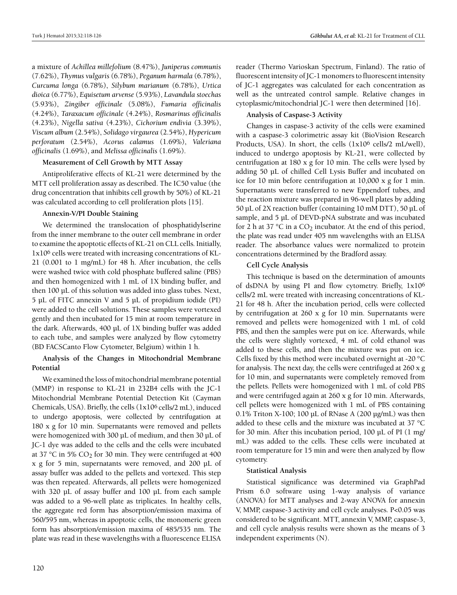a mixture of *Achillea millefolium* (8.47%), *Juniperus communis* (7.62%), *Thymus vulgaris* (6.78%), *Peganum harmala* (6.78%), *Curcuma longa* (6.78%), *Silybum marianum* (6.78%), *Urtica dioica* (6.77%), *Equisetum arvense* (5.93%), *Lavandula stoechas* (5.93%), *Zingiber officinale* (5.08%), *Fumaria officinalis* (4.24%), *Taraxacum officinale* (4.24%), *Rosmarinus officinalis*  (4.23%), *Nigella sativa* (4.23%), *Cichorium endivia* (3.39%), *Viscum album* (2.54%), *Solidago virgaurea* (2.54%), *Hypericum perforatum* (2.54%), *Acorus calamus* (1.69%), *Valeriana officinalis* (1.69%), and *Melissa officinalis* (1.69%).

### **Measurement of Cell Growth by MTT Assay**

Antiproliferative effects of KL-21 were determined by the MTT cell proliferation assay as described. The IC50 value (the drug concentration that inhibits cell growth by 50%) of KL-21 was calculated according to cell proliferation plots [15].

## **Annexin-V/PI Double Staining**

We determined the translocation of phosphatidylserine from the inner membrane to the outer cell membrane in order to examine the apoptotic effects of KL-21 on CLL cells. Initially, 1x106 cells were treated with increasing concentrations of KL-21 (0.001 to 1 mg/mL) for 48 h. After incubation, the cells were washed twice with cold phosphate buffered saline (PBS) and then homogenized with 1 mL of 1X binding buffer, and then 100 µL of this solution was added into glass tubes. Next, 5 µL of FITC annexin V and 5 µL of propidium iodide (PI) were added to the cell solutions. These samples were vortexed gently and then incubated for 15 min at room temperature in the dark. Afterwards, 400 µL of 1X binding buffer was added to each tube, and samples were analyzed by flow cytometry (BD FACSCanto Flow Cytometer, Belgium) within 1 h.

# **Analysis of the Changes in Mitochondrial Membrane Potential**

We examined the loss of mitochondrial membrane potential (MMP) in response to KL-21 in 232B4 cells with the JC-1 Mitochondrial Membrane Potential Detection Kit (Cayman Chemicals, USA). Briefly, the cells (1x106 cells/2 mL), induced to undergo apoptosis, were collected by centrifugation at 180 x g for 10 min. Supernatants were removed and pellets were homogenized with 300 µL of medium, and then 30 µL of JC-1 dye was added to the cells and the cells were incubated at 37 °C in 5%  $CO<sub>2</sub>$  for 30 min. They were centrifuged at 400 x g for 5 min, supernatants were removed, and 200 µL of assay buffer was added to the pellets and vortexed. This step was then repeated. Afterwards, all pellets were homogenized with 320 µL of assay buffer and 100 µL from each sample was added to a 96-well plate as triplicates. In healthy cells, the aggregate red form has absorption/emission maxima of 560/595 nm, whereas in apoptotic cells, the monomeric green form has absorption/emission maxima of 485/535 nm. The plate was read in these wavelengths with a fluorescence ELISA

reader (Thermo Varioskan Spectrum, Finland). The ratio of fluorescent intensity of JC-1 monomers to fluorescent intensity of JC-1 aggregates was calculated for each concentration as well as the untreated control sample. Relative changes in cytoplasmic/mitochondrial JC-1 were then determined [16].

# **Analysis of Caspase-3 Activity**

Changes in caspase-3 activity of the cells were examined with a caspase-3 colorimetric assay kit (BioVision Research Products, USA). In short, the cells (1x106 cells/2 mL/well), induced to undergo apoptosis by KL-21, were collected by centrifugation at 180 x g for 10 min. The cells were lysed by adding 50 µL of chilled Cell Lysis Buffer and incubated on ice for 10 min before centrifugation at 10,000 x g for 1 min. Supernatants were transferred to new Eppendorf tubes, and the reaction mixture was prepared in 96-well plates by adding 50 µL of 2X reaction buffer (containing 10 mM DTT), 50 µL of sample, and 5 µL of DEVD-pNA substrate and was incubated for 2 h at 37 °C in a  $CO_2$  incubator. At the end of this period, the plate was read under 405 nm wavelengths with an ELISA reader. The absorbance values were normalized to protein concentrations determined by the Bradford assay.

# **Cell Cycle Analysis**

This technique is based on the determination of amounts of dsDNA by using PI and flow cytometry. Briefly, 1x106 cells/2 mL were treated with increasing concentrations of KL-21 for 48 h. After the incubation period, cells were collected by centrifugation at 260 x g for 10 min. Supernatants were removed and pellets were homogenized with 1 mL of cold PBS, and then the samples were put on ice. Afterwards, while the cells were slightly vortexed, 4 mL of cold ethanol was added to these cells, and then the mixture was put on ice. Cells fixed by this method were incubated overnight at -20 °C for analysis. The next day, the cells were centrifuged at 260 x g for 10 min, and supernatants were completely removed from the pellets. Pellets were homogenized with 1 mL of cold PBS and were centrifuged again at 260 x g for 10 min. Afterwards, cell pellets were homogenized with 1 mL of PBS containing 0.1% Triton X-100; 100 µL of RNase A (200 µg/mL) was then added to these cells and the mixture was incubated at 37 °C for 30 min. After this incubation period, 100 µL of PI (1 mg/ mL) was added to the cells. These cells were incubated at room temperature for 15 min and were then analyzed by flow cytometry.

# **Statistical Analysis**

Statistical significance was determined via GraphPad Prism 6.0 software using 1-way analysis of variance (ANOVA) for MTT analyses and 2-way ANOVA for annexin V, MMP, caspase-3 activity and cell cycle analyses. P<0.05 was considered to be significant. MTT, annexin V, MMP, caspase-3, and cell cycle analysis results were shown as the means of 3 independent experiments (N).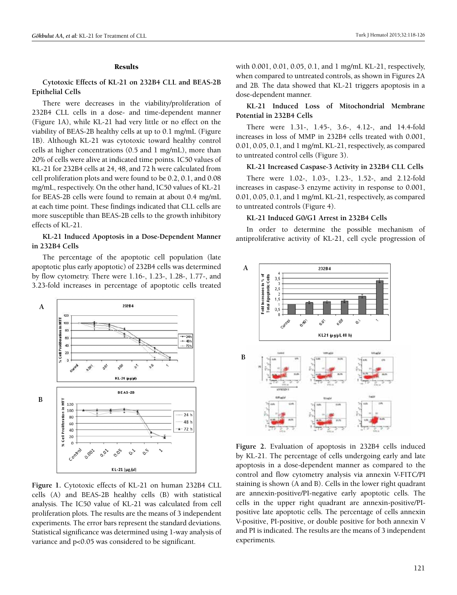#### Results

## **Cytotoxic Effects of KL-21 on 232B4 CLL and BEAS-2B Epithelial Cells**

There were decreases in the viability/proliferation of 232B4 CLL cells in a dose- and time-dependent manner (Figure 1A), while KL-21 had very little or no effect on the viability of BEAS-2B healthy cells at up to 0.1 mg/mL (Figure 1B). Although KL-21 was cytotoxic toward healthy control cells at higher concentrations (0.5 and 1 mg/mL), more than 20% of cells were alive at indicated time points. IC50 values of KL-21 for 232B4 cells at 24, 48, and 72 h were calculated from cell proliferation plots and were found to be 0.2, 0.1, and 0.08 mg/mL, respectively. On the other hand, IC50 values of KL-21 for BEAS-2B cells were found to remain at about 0.4 mg/mL at each time point. These findings indicated that CLL cells are more susceptible than BEAS-2B cells to the growth inhibitory effects of KL-21.

## **KL-21 Induced Apoptosis in a Dose-Dependent Manner in 232B4 Cells**

The percentage of the apoptotic cell population (late apoptotic plus early apoptotic) of 232B4 cells was determined by flow cytometry. There were 1.16-, 1.23-, 1.28-, 1.77-, and 3.23-fold increases in percentage of apoptotic cells treated



**Figure 1.** Cytotoxic effects of KL-21 on human 232B4 CLL cells (A) and BEAS-2B healthy cells (B) with statistical analysis. The IC50 value of KL-21 was calculated from cell proliferation plots. The results are the means of 3 independent experiments. The error bars represent the standard deviations. Statistical significance was determined using 1-way analysis of variance and p<0.05 was considered to be significant.

with 0.001, 0.01, 0.05, 0.1, and 1 mg/mL KL-21, respectively, when compared to untreated controls, as shown in Figures 2A and 2B. The data showed that KL-21 triggers apoptosis in a dose-dependent manner.

# **KL-21 Induced Loss of Mitochondrial Membrane Potential in 232B4 Cells**

There were 1.31-, 1.45-, 3.6-, 4.12-, and 14.4-fold increases in loss of MMP in 232B4 cells treated with 0.001, 0.01, 0.05, 0.1, and 1 mg/mL KL-21, respectively, as compared to untreated control cells (Figure 3).

## **KL-21 Increased Caspase-3 Activity in 232B4 CLL Cells**

There were 1.02-, 1.03-, 1.23-, 1.52-, and 2.12-fold increases in caspase-3 enzyme activity in response to 0.001, 0.01, 0.05, 0.1, and 1 mg/mL KL-21, respectively, as compared to untreated controls (Figure 4).

#### **KL-21 Induced G0/G1 Arrest in 232B4 Cells**

In order to determine the possible mechanism of antiproliferative activity of KL-21, cell cycle progression of



**Figure 2.** Evaluation of apoptosis in 232B4 cells induced by KL-21. The percentage of cells undergoing early and late apoptosis in a dose-dependent manner as compared to the control and flow cytometry analysis via annexin V-FITC/PI staining is shown (A and B). Cells in the lower right quadrant are annexin-positive/PI-negative early apoptotic cells. The cells in the upper right quadrant are annexin-positive/PIpositive late apoptotic cells. The percentage of cells annexin V-positive, PI-positive, or double positive for both annexin V and PI is indicated. The results are the means of 3 independent experiments.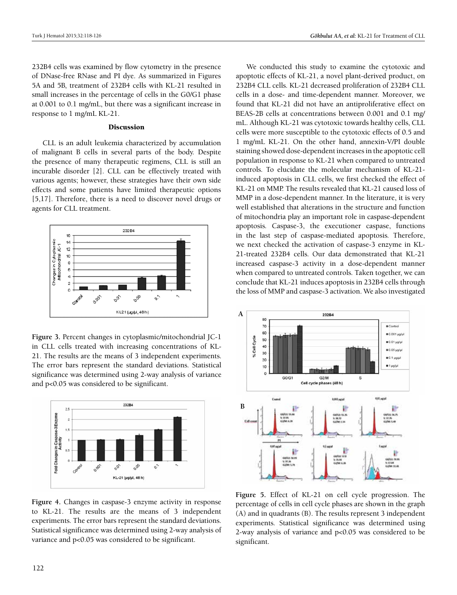232B4 cells was examined by flow cytometry in the presence of DNase-free RNase and PI dye. As summarized in Figures 5A and 5B, treatment of 232B4 cells with KL-21 resulted in small increases in the percentage of cells in the G0/G1 phase at 0.001 to 0.1 mg/mL, but there was a significant increase in response to 1 mg/mL KL-21.

#### Discussion

CLL is an adult leukemia characterized by accumulation of malignant B cells in several parts of the body. Despite the presence of many therapeutic regimens, CLL is still an incurable disorder [2]. CLL can be effectively treated with various agents; however, these strategies have their own side effects and some patients have limited therapeutic options [5,17]. Therefore, there is a need to discover novel drugs or agents for CLL treatment.



**Figure 3.** Percent changes in cytoplasmic/mitochondrial JC-1 in CLL cells treated with increasing concentrations of KL-21. The results are the means of 3 independent experiments. The error bars represent the standard deviations. Statistical significance was determined using 2-way analysis of variance and p<0.05 was considered to be significant.



**Figure 4.** Changes in caspase-3 enzyme activity in response to KL-21. The results are the means of 3 independent experiments. The error bars represent the standard deviations. Statistical significance was determined using 2-way analysis of variance and p<0.05 was considered to be significant.

We conducted this study to examine the cytotoxic and apoptotic effects of KL-21, a novel plant-derived product, on 232B4 CLL cells. KL-21 decreased proliferation of 232B4 CLL cells in a dose- and time-dependent manner. Moreover, we found that KL-21 did not have an antiproliferative effect on BEAS-2B cells at concentrations between 0.001 and 0.1 mg/ mL. Although KL-21 was cytotoxic towards healthy cells, CLL cells were more susceptible to the cytotoxic effects of 0.5 and 1 mg/mL KL-21. On the other hand, annexin-V/PI double staining showed dose-dependent increases in the apoptotic cell population in response to KL-21 when compared to untreated controls. To elucidate the molecular mechanism of KL-21 induced apoptosis in CLL cells, we first checked the effect of KL-21 on MMP. The results revealed that KL-21 caused loss of MMP in a dose-dependent manner. In the literature, it is very well established that alterations in the structure and function of mitochondria play an important role in caspase-dependent apoptosis. Caspase-3, the executioner caspase, functions in the last step of caspase-mediated apoptosis. Therefore, we next checked the activation of caspase-3 enzyme in KL-21-treated 232B4 cells. Our data demonstrated that KL-21 increased caspase-3 activity in a dose-dependent manner when compared to untreated controls. Taken together, we can conclude that KL-21 induces apoptosis in 232B4 cells through the loss of MMP and caspase-3 activation. We also investigated



**Figure 5.** Effect of KL-21 on cell cycle progression. The percentage of cells in cell cycle phases are shown in the graph (A) and in quadrants (B). The results represent 3 independent experiments. Statistical significance was determined using 2-way analysis of variance and p<0.05 was considered to be significant.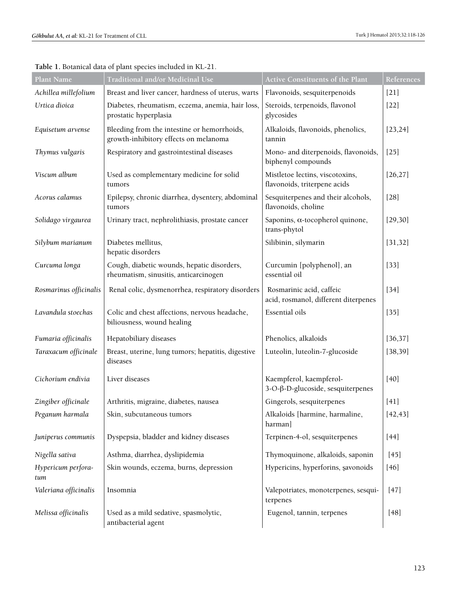| <b>Plant Name</b>         | Traditional and/or Medicinal Use                                                     | Active Constituents of the Plant                                 | References |
|---------------------------|--------------------------------------------------------------------------------------|------------------------------------------------------------------|------------|
| Achillea millefolium      | Breast and liver cancer, hardness of uterus, warts                                   | Flavonoids, sesquiterpenoids                                     | $[21]$     |
| Urtica dioica             | Diabetes, rheumatism, eczema, anemia, hair loss,<br>prostatic hyperplasia            | Steroids, terpenoids, flavonol<br>glycosides                     | $[22]$     |
| Equisetum arvense         | Bleeding from the intestine or hemorrhoids,<br>growth-inhibitory effects on melanoma | Alkaloids, flavonoids, phenolics,<br>tannin                      | [23, 24]   |
| Thymus vulgaris           | Respiratory and gastrointestinal diseases                                            | Mono- and diterpenoids, flavonoids,<br>biphenyl compounds        | $[25]$     |
| Viscum album              | Used as complementary medicine for solid<br>tumors                                   | Mistletoe lectins, viscotoxins,<br>flavonoids, triterpene acids  | [26, 27]   |
| Acorus calamus            | Epilepsy, chronic diarrhea, dysentery, abdominal<br>tumors                           | Sesquiterpenes and their alcohols,<br>flavonoids, choline        | $[28]$     |
| Solidago virgaurea        | Urinary tract, nephrolithiasis, prostate cancer                                      | Saponins, α-tocopherol quinone,<br>trans-phytol                  | [29, 30]   |
| Silybum marianum          | Diabetes mellitus,<br>hepatic disorders                                              | Silibinin, silymarin                                             | [31, 32]   |
| Curcuma longa             | Cough, diabetic wounds, hepatic disorders,<br>rheumatism, sinusitis, anticarcinogen  | Curcumin [polyphenol], an<br>essential oil                       | $[33]$     |
| Rosmarinus officinalis    | Renal colic, dysmenorrhea, respiratory disorders                                     | Rosmarinic acid, caffeic<br>acid, rosmanol, different diterpenes | $[34]$     |
| Lavandula stoechas        | Colic and chest affections, nervous headache,<br>biliousness, wound healing          | Essential oils                                                   | $[35]$     |
| Fumaria officinalis       | Hepatobiliary diseases                                                               | Phenolics, alkaloids                                             | [36, 37]   |
| Taraxacum officinale      | Breast, uterine, lung tumors; hepatitis, digestive<br>diseases                       | Luteolin, luteolin-7-glucoside                                   | [38, 39]   |
| Cichorium endivia         | Liver diseases                                                                       | Kaempferol, kaempferol-<br>3-O-β-D-glucoside, sesquiterpenes     | $[40]$     |
| Zingiber officinale       | Arthritis, migraine, diabetes, nausea                                                | Gingerols, sesquiterpenes                                        | $[41]$     |
| Peganum harmala           | Skin, subcutaneous tumors                                                            | Alkaloids [harmine, harmaline,<br>harman]                        | [42, 43]   |
| Juniperus communis        | Dyspepsia, bladder and kidney diseases                                               | Terpinen-4-ol, sesquiterpenes                                    | $[44]$     |
| Nigella sativa            | Asthma, diarrhea, dyslipidemia                                                       | Thymoquinone, alkaloids, saponin                                 | $[45]$     |
| Hypericum perfora-<br>tum | Skin wounds, eczema, burns, depression                                               | Hypericins, hyperforins, şavonoids                               | $[46]$     |
| Valeriana officinalis     | Insomnia                                                                             | Valepotriates, monoterpenes, sesqui-<br>terpenes                 | $[47]$     |
| Melissa officinalis       | Used as a mild sedative, spasmolytic,<br>antibacterial agent                         | Eugenol, tannin, terpenes                                        | $[48]$     |

**Table 1.** Botanical data of plant species included in KL-21.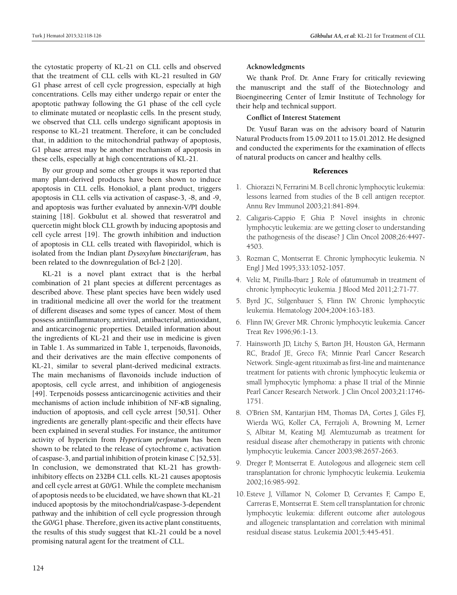the cytostatic property of KL-21 on CLL cells and observed that the treatment of CLL cells with KL-21 resulted in G0/ G1 phase arrest of cell cycle progression, especially at high concentrations. Cells may either undergo repair or enter the apoptotic pathway following the G1 phase of the cell cycle to eliminate mutated or neoplastic cells. In the present study, we observed that CLL cells undergo significant apoptosis in response to KL-21 treatment. Therefore, it can be concluded that, in addition to the mitochondrial pathway of apoptosis, G1 phase arrest may be another mechanism of apoptosis in these cells, especially at high concentrations of KL-21.

By our group and some other groups it was reported that many plant-derived products have been shown to induce apoptosis in CLL cells. Honokiol, a plant product, triggers apoptosis in CLL cells via activation of caspase-3, -8, and -9, and apoptosis was further evaluated by annexin-V/PI double staining [18]. Gokbulut et al. showed that resveratrol and quercetin might block CLL growth by inducing apoptosis and cell cycle arrest [19]. The growth inhibition and induction of apoptosis in CLL cells treated with flavopiridol, which is isolated from the Indian plant *Dysoxylum binectariferum*, has been related to the downregulation of Bcl-2 [20].

KL-21 is a novel plant extract that is the herbal combination of 21 plant species at different percentages as described above. These plant species have been widely used in traditional medicine all over the world for the treatment of different diseases and some types of cancer. Most of them possess antiinflammatory, antiviral, antibacterial, antioxidant, and anticarcinogenic properties. Detailed information about the ingredients of KL-21 and their use in medicine is given in Table 1. As summarized in Table 1, terpenoids, flavonoids, and their derivatives are the main effective components of KL-21, similar to several plant-derived medicinal extracts. The main mechanisms of flavonoids include induction of apoptosis, cell cycle arrest, and inhibition of angiogenesis [49]. Terpenoids possess anticarcinogenic activities and their mechanisms of action include inhibition of NF-κB signaling, induction of apoptosis, and cell cycle arrest [50,51]. Other ingredients are generally plant-specific and their effects have been explained in several studies. For instance, the antitumor activity of hypericin from *Hypericum perforatum* has been shown to be related to the release of cytochrome c, activation of caspase-3, and partial inhibition of protein kinase C [52,53]. In conclusion, we demonstrated that KL-21 has growthinhibitory effects on 232B4 CLL cells. KL-21 causes apoptosis and cell cycle arrest at G0/G1. While the complete mechanism of apoptosis needs to be elucidated, we have shown that KL-21 induced apoptosis by the mitochondrial/caspase-3-dependent pathway and the inhibition of cell cycle progression through the G0/G1 phase. Therefore, given its active plant constituents, the results of this study suggest that KL-21 could be a novel promising natural agent for the treatment of CLL.

#### **Acknowledgments**

We thank Prof. Dr. Anne Frary for critically reviewing the manuscript and the staff of the Biotechnology and Bioengineering Center of İzmir Institute of Technology for their help and technical support.

#### **Conflict of Interest Statement**

Dr. Yusuf Baran was on the advisory board of Naturin Natural Products from 15.09.2011 to 15.01.2012. He designed and conducted the experiments for the examination of effects of natural products on cancer and healthy cells.

## References

- 1. Chiorazzi N, Ferrarini M. B cell chronic lymphocytic leukemia: lessons learned from studies of the B cell antigen receptor. Annu Rev Immunol 2003;21:841-894.
- 2. Caligaris-Cappio F, Ghia P. Novel insights in chronic lymphocytic leukemia: are we getting closer to understanding the pathogenesis of the disease? J Clin Oncol 2008;26:4497- 4503.
- 3. Rozman C, Montserrat E. Chronic lymphocytic leukemia. N Engl J Med 1995;333:1052-1057.
- 4. Veliz M, Pinilla-Ibarz J. Role of ofatumumab in treatment of chronic lymphocytic leukemia. J Blood Med 2011;2:71-77.
- 5. Byrd JC, Stilgenbauer S, Flinn IW. Chronic lymphocytic leukemia. Hematology 2004;2004:163-183.
- 6. Flinn IW, Grever MR. Chronic lymphocytic leukemia. Cancer Treat Rev 1996;96:1-13.
- 7. Hainsworth JD, Litchy S, Barton JH, Houston GA, Hermann RC, Bradof JE, Greco FA; Minnie Pearl Cancer Research Network. Single-agent rituximab as first-line and maintenance treatment for patients with chronic lymphocytic leukemia or small lymphocytic lymphoma: a phase II trial of the Minnie Pearl Cancer Research Network. J Clin Oncol 2003;21:1746- 1751.
- 8. O'Brien SM, Kantarjian HM, Thomas DA, Cortes J, Giles FJ, Wierda WG, Koller CA, Ferrajoli A, Browning M, Lerner S, Albitar M, Keating MJ. Alemtuzumab as treatment for residual disease after chemotherapy in patients with chronic lymphocytic leukemia. Cancer 2003;98:2657-2663.
- 9. Dreger P, Montserrat E. Autologous and allogeneic stem cell transplantation for chronic lymphocytic leukemia. Leukemia 2002;16:985-992.
- 10. Esteve J, Villamor N, Colomer D, Cervantes F, Campo E, Carreras E, Montserrat E. Stem cell transplantation for chronic lymphocytic leukemia: different outcome after autologous and allogeneic transplantation and correlation with minimal residual disease status. Leukemia 2001;5:445-451.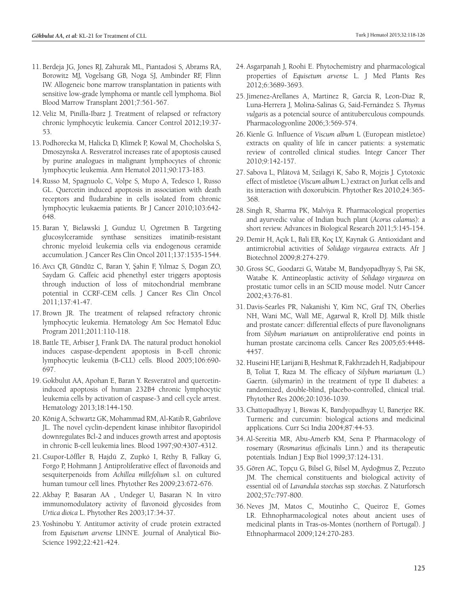- 11. Berdeja JG, Jones RJ, Zahurak ML, Piantadosi S, Abrams RA, Borowitz MJ, Vogelsang GB, Noga SJ, Ambinder RF, Flinn IW. Allogeneic bone marrow transplantation in patients with sensitive low-grade lymphoma or mantle cell lymphoma. Biol Blood Marrow Transplant 2001;7:561-567.
- 12. Veliz M, Pinilla-Ibarz J. Treatment of relapsed or refractory chronic lymphocytic leukemia. Cancer Control 2012;19:37- 53.
- 13. Podhorecka M, Halicka D, Klimek P, Kowal M, Chocholska S, Dmoszynska A. Resveratrol increases rate of apoptosis caused by purine analogues in malignant lymphocytes of chronic lymphocytic leukemia. Ann Hematol 2011;90:173-183.
- 14. Russo M, Spagnuolo C, Volpe S, Mupo A, Tedesco I, Russo GL. Quercetin induced apoptosis in association with death receptors and fludarabine in cells isolated from chronic lymphocytic leukaemia patients. Br J Cancer 2010;103:642- 648.
- 15. Baran Y, Bielawski J, Gunduz U, Ogretmen B. Targeting glucosylceramide synthase sensitizes imatinib-resistant chronic myeloid leukemia cells via endogenous ceramide accumulation. J Cancer Res Clin Oncol 2011;137:1535-1544.
- 16. Avcı ÇB, Gündüz C, Baran Y, Şahin F, Yılmaz S, Dogan ZO, Saydam G. Caffeic acid phenethyl ester triggers apoptosis through induction of loss of mitochondrial membrane potential in CCRF-CEM cells. J Cancer Res Clin Oncol 2011;137:41-47.
- 17. Brown JR. The treatment of relapsed refractory chronic lymphocytic leukemia. Hematology Am Soc Hematol Educ Program 2011;2011:110-118.
- 18. Battle TE, Arbiser J, Frank DA. The natural product honokiol induces caspase-dependent apoptosis in B-cell chronic lymphocytic leukemia (B-CLL) cells. Blood 2005;106:690- 697.
- 19.Gokbulut AA, Apohan E, Baran Y. Resveratrol and quercetininduced apoptosis of human 232B4 chronic lymphocytic leukemia cells by activation of caspase-3 and cell cycle arrest. Hematology 2013;18:144-150.
- 20.König A, Schwartz GK, Mohammad RM, Al-Katib R, Gabrilove JL. The novel cyclin-dependent kinase inhibitor flavopiridol downregulates Bcl-2 and induces growth arrest and apoptosis in chronic B-cell leukemia lines. Blood 1997;90:4307-4312.
- 21.Csupor-Löffler B, Hajdú Z, Zupkó I, Réthy B, Falkay G, Forgo P, Hohmann J. Antiproliferative effect of flavonoids and sesquiterpenoids from *Achillea millefolium* s.l. on cultured human tumour cell lines. Phytother Res 2009;23:672-676.
- 22. Akbay P, Basaran AA , Undeger U, Basaran N. In vitro immunomodulatory activity of flavonoid glycosides from *Urtica dioica* L. Phytother Res 2003;17:34-37.
- 23. Yoshinobu Y. Antitumor activity of crude protein extracted from *Equisetum arvense* LINN'E. Journal of Analytical Bio-Science 1992;22:421-424.
- 24. Asgarpanah J, Roohi E. Phytochemistry and pharmacological properties of *Equisetum arvense* L. J Med Plants Res 2012;6:3689-3693.
- 25.Jimenez-Arellanes A, Martinez R, García R, Leon-Diaz R, Luna-Herrera J, Molina-Salinas G, Said-Fernández S. *Thymus vulgaris* as a potencial source of antituberculous compounds. Pharmacologyonline 2006;3:569-574.
- 26.Kienle G. Influence of *Viscum album* L (European mistletoe) extracts on quality of life in cancer patients: a systematic review of controlled clinical studies. Integr Cancer Ther 2010;9:142-157.
- 27. Sabova L, Pilátová M, Szilagyi K, Sabo R, Mojzis J. Cytotoxic effect of mistletoe (*Viscum album* L.) extract on Jurkat cells and its interaction with doxorubicin. Phytother Res 2010;24:365- 368.
- 28. Singh R, Sharma PK, Malviya R. Pharmacological properties and ayurvedic value of Indian buch plant (*Acorus calamus*): a short review. Advances in Biological Research 2011;5:145-154.
- 29.Demir H, Açık L, Bali EB, Koç LY, Kaynak G. Antioxidant and antimicrobial activities of *Solidago virgaurea* extracts. Afr J Biotechnol 2009;8:274-279.
- 30.Gross SC, Goodarzi G, Watabe M, Bandyopadhyay S, Pai SK, Watabe K. Antineoplastic activity of *Solidago virgaurea* on prostatic tumor cells in an SCID mouse model. Nutr Cancer 2002;43:76-81.
- 31.Davis-Searles PR, Nakanishi Y, Kim NC, Graf TN, Oberlies NH, Wani MC, Wall ME, Agarwal R, Kroll DJ. Milk thistle and prostate cancer: differential effects of pure flavonolignans from *Silybum marianum* on antiproliferative end points in human prostate carcinoma cells. Cancer Res 2005;65:4448- 4457.
- 32. Huseini HF, Larijani B, Heshmat R, Fakhrzadeh H, Radjabipour B, Toliat T, Raza M. The efficacy of *Silybum marianum* (L.) Gaertn. (silymarin) in the treatment of type II diabetes: a randomized, double-blind, placebo-controlled, clinical trial. Phytother Res 2006;20:1036-1039.
- 33.Chattopadhyay I, Biswas K, Bandyopadhyay U, Banerjee RK. Turmeric and curcumin: biological actions and medicinal applications. Curr Sci India 2004;87:44-53.
- 34. Al-Sereitia MR, Abu-Amerb KM, Sena P. Pharmacology of rosemary (*Rosmarinus officinalis* Linn.) and its therapeutic potentials. Indian J Exp Biol 1999;37:124-131.
- 35.Gören AC, Topçu G, Bilsel G, Bilsel M, Aydoğmus Z, Pezzuto JM. The chemical constituents and biological activity of essential oil of *Lavandula stoechas* ssp. *stoechas*. Z Naturforsch 2002;57c:797-800.
- 36. Neves JM, Matos C, Moutinho C, Queiroz E, Gomes LR. Ethnopharmacological notes about ancient uses of medicinal plants in Tras-os-Montes (northern of Portugal). J Ethnopharmacol 2009;124:270-283.